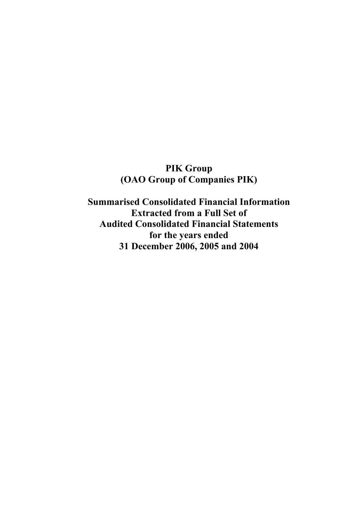# **PIK Group (OAO Group of Companies PIK)**

**Summarised Consolidated Financial Information Extracted from a Full Set of Audited Consolidated Financial Statements for the years ended 31 December 2006, 2005 and 2004**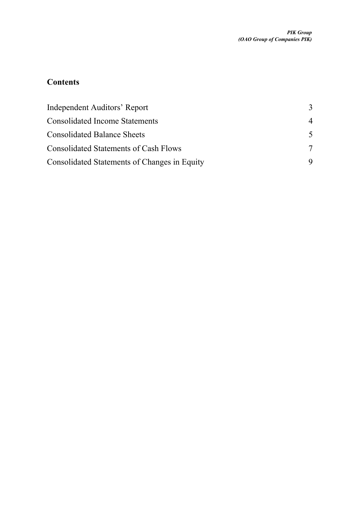## **Contents**

| Independent Auditors' Report                 |   |
|----------------------------------------------|---|
| <b>Consolidated Income Statements</b>        | 4 |
| <b>Consolidated Balance Sheets</b>           | 5 |
| <b>Consolidated Statements of Cash Flows</b> | 7 |
| Consolidated Statements of Changes in Equity |   |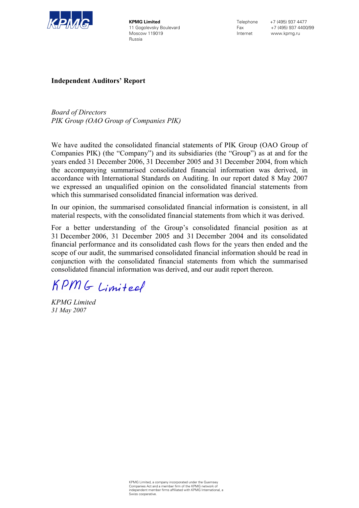

**KPMG Limited**  11 Gogolevsky Boulevard Moscow 119019 Russia

Telephone +7 (495) 937 4477 Fax +7 (495) 937 4400/99 Internet www.kpmg.ru

**Independent Auditors' Report** 

*Board of Directors PIK Group (OAO Group of Companies PIK)* 

We have audited the consolidated financial statements of PIK Group (OAO Group of Companies PIK) (the "Company") and its subsidiaries (the "Group") as at and for the years ended 31 December 2006, 31 December 2005 and 31 December 2004, from which the accompanying summarised consolidated financial information was derived, in accordance with International Standards on Auditing. In our report dated 8 May 2007 we expressed an unqualified opinion on the consolidated financial statements from which this summarised consolidated financial information was derived.

In our opinion, the summarised consolidated financial information is consistent, in all material respects, with the consolidated financial statements from which it was derived.

For a better understanding of the Group's consolidated financial position as at 31 December 2006, 31 December 2005 and 31 December 2004 and its consolidated financial performance and its consolidated cash flows for the years then ended and the scope of our audit, the summarised consolidated financial information should be read in conjunction with the consolidated financial statements from which the summarised consolidated financial information was derived, and our audit report thereon.

KPMG Limited

*KPMG Limited 31 May 2007*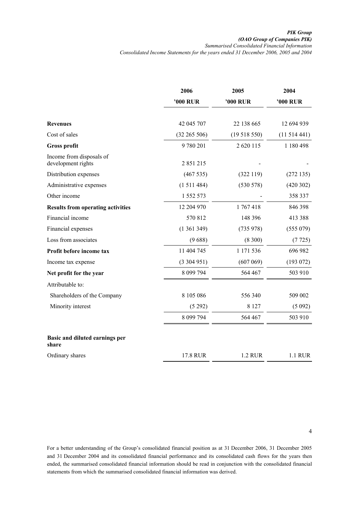*(OAO Group of Companies PIK)* 

*Summarised Consolidated Financial Information Consolidated Income Statements for the years ended 31 December 2006, 2005 and 2004* 

|                                                | 2006            | 2005            | 2004            |  |
|------------------------------------------------|-----------------|-----------------|-----------------|--|
|                                                | '000 RUR        | <b>'000 RUR</b> | <b>'000 RUR</b> |  |
| <b>Revenues</b>                                | 42 045 707      | 22 138 665      | 12 694 939      |  |
| Cost of sales                                  | (32 265 506)    | (19518550)      | (11514441)      |  |
| <b>Gross profit</b>                            | 9780201         | 2 620 115       | 1 180 498       |  |
| Income from disposals of<br>development rights | 2 851 215       |                 |                 |  |
| Distribution expenses                          | (467535)        | (322119)        | (272135)        |  |
| Administrative expenses                        | (1511484)       | (530 578)       | (420 302)       |  |
| Other income                                   | 1 552 573       |                 | 358 337         |  |
| <b>Results from operating activities</b>       | 12 204 970      | 1767418         | 846 398         |  |
| Financial income                               | 570 812         | 148 396         | 413 388         |  |
| Financial expenses                             | (1361349)       | (735978)        | (555079)        |  |
| Loss from associates                           | (9688)          | (8300)          | (7725)          |  |
| Profit before income tax                       | 11 404 745      | 1 171 536       | 696 982         |  |
| Income tax expense                             | (3304951)       | (607069)        | (193 072)       |  |
| Net profit for the year                        | 8 099 794       | 564 467         | 503 910         |  |
| Attributable to:                               |                 |                 |                 |  |
| Shareholders of the Company                    | 8 105 086       | 556 340         | 509 002         |  |
| Minority interest                              | (5292)          | 8 1 2 7         | (5092)          |  |
|                                                | 8 099 794       | 564 467         | 503 910         |  |
| Basic and diluted earnings per<br>share        |                 |                 |                 |  |
| Ordinary shares                                | <b>17.8 RUR</b> | 1.2 RUR         | 1.1 RUR         |  |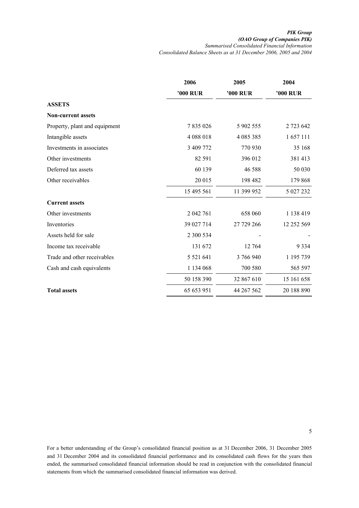*PIK Group (OAO Group of Companies PIK) Summarised Consolidated Financial Information* 

*Consolidated Balance Sheets as at 31 December 2006, 2005 and 2004* 

|                               | 2006            | 2005            | 2004            |
|-------------------------------|-----------------|-----------------|-----------------|
|                               | <b>'000 RUR</b> | <b>'000 RUR</b> | <b>'000 RUR</b> |
| <b>ASSETS</b>                 |                 |                 |                 |
| <b>Non-current assets</b>     |                 |                 |                 |
| Property, plant and equipment | 7835026         | 5 902 555       | 2 7 23 6 42     |
| Intangible assets             | 4088018         | 4 085 385       | 1657111         |
| Investments in associates     | 3 409 772       | 770 930         | 35 168          |
| Other investments             | 82 591          | 396 012         | 381413          |
| Deferred tax assets           | 60 139          | 46 588          | 50 030          |
| Other receivables             | 20 015          | 198 482         | 179 868         |
|                               | 15 495 561      | 11 399 952      | 5 027 232       |
| <b>Current assets</b>         |                 |                 |                 |
| Other investments             | 2 042 761       | 658 060         | 1 138 419       |
| Inventories                   | 39 027 714      | 27 729 266      | 12 252 569      |
| Assets held for sale          | 2 300 534       |                 |                 |
| Income tax receivable         | 131 672         | 12 764          | 9 3 3 4         |
| Trade and other receivables   | 5 5 2 1 6 4 1   | 3766940         | 1 195 739       |
| Cash and cash equivalents     | 1 134 068       | 700 580         | 565 597         |
|                               | 50 158 390      | 32 867 610      | 15 161 658      |
| <b>Total assets</b>           | 65 653 951      | 44 267 562      | 20 188 890      |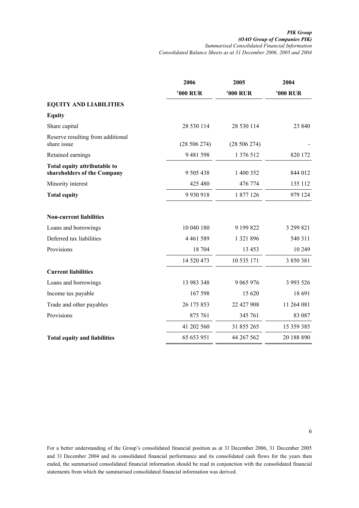*PIK Group (OAO Group of Companies PIK) Summarised Consolidated Financial Information Consolidated Balance Sheets as at 31 December 2006, 2005 and 2004* 

|                                                             | 2006          | 2005        | 2004            |
|-------------------------------------------------------------|---------------|-------------|-----------------|
|                                                             | '000 RUR      | '000 RUR    | <b>'000 RUR</b> |
| <b>EQUITY AND LIABILITIES</b>                               |               |             |                 |
| <b>Equity</b>                                               |               |             |                 |
| Share capital                                               | 28 530 114    | 28 530 114  | 23 840          |
| Reserve resulting from additional<br>share issue            | (28506274)    | (28506274)  |                 |
| Retained earnings                                           | 9 481 598     | 1 376 512   | 820 172         |
| Total equity attributable to<br>shareholders of the Company | 9 505 438     | 1 400 352   | 844 012         |
| Minority interest                                           | 425 480       | 476 774     | 135 112         |
| <b>Total equity</b>                                         | 9930918       | 1 877 126   | 979 124         |
| <b>Non-current liabilities</b>                              |               |             |                 |
| Loans and borrowings                                        | 10 040 180    | 9 199 822   | 3 299 821       |
| Deferred tax liabilities                                    | 4 4 6 1 5 8 9 | 1 321 896   | 540 311         |
| Provisions                                                  | 18 704        | 13 453      | 10 249          |
|                                                             | 14 520 473    | 10 535 171  | 3 850 381       |
| <b>Current liabilities</b>                                  |               |             |                 |
| Loans and borrowings                                        | 13 983 348    | 9 0 65 9 76 | 3 9 9 3 5 2 6   |
| Income tax payable                                          | 167 598       | 15 620      | 18691           |
| Trade and other payables                                    | 26 175 853    | 22 427 908  | 11 264 081      |
| Provisions                                                  | 875 761       | 345 761     | 83 087          |
|                                                             | 41 202 560    | 31 855 265  | 15 359 385      |
| <b>Total equity and liabilities</b>                         | 65 653 951    | 44 267 562  | 20 188 890      |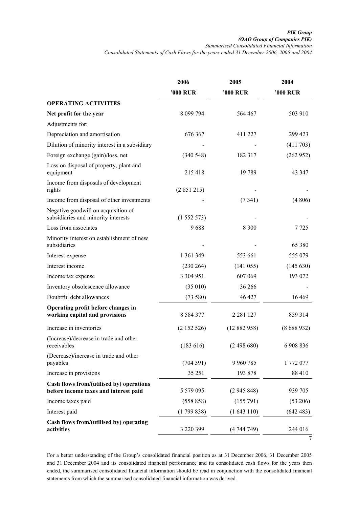*(OAO Group of Companies PIK)* 

*Summarised Consolidated Financial Information* 

*Consolidated Statements of Cash Flows for the years ended 31 December 2006, 2005 and 2004* 

|                                                                                   | 2006            | 2005            | 2004            |
|-----------------------------------------------------------------------------------|-----------------|-----------------|-----------------|
|                                                                                   | <b>'000 RUR</b> | <b>'000 RUR</b> | <b>'000 RUR</b> |
| <b>OPERATING ACTIVITIES</b>                                                       |                 |                 |                 |
| Net profit for the year                                                           | 8 099 794       | 564 467         | 503 910         |
| Adjustments for:                                                                  |                 |                 |                 |
| Depreciation and amortisation                                                     | 676 367         | 411 227         | 299 423         |
| Dilution of minority interest in a subsidiary                                     |                 |                 | (411703)        |
| Foreign exchange (gain)/loss, net                                                 | (340548)        | 182 317         | (262952)        |
| Loss on disposal of property, plant and<br>equipment                              | 215 418         | 19789           | 43 347          |
| Income from disposals of development<br>rights                                    | (2851215)       |                 |                 |
| Income from disposal of other investments                                         |                 | (7341)          | (4806)          |
| Negative goodwill on acquisition of<br>subsidiaries and minority interests        | (1552573)       |                 |                 |
| Loss from associates                                                              | 9688            | 8 300           | 7 7 2 5         |
| Minority interest on establishment of new<br>subsidiaries                         |                 |                 | 65 380          |
| Interest expense                                                                  | 1 361 349       | 553 661         | 555 079         |
| Interest income                                                                   | (230 264)       | (141055)        | (145 630)       |
| Income tax expense                                                                | 3 304 951       | 607 069         | 193 072         |
| Inventory obsolescence allowance                                                  | (35010)         | 36 26 6         |                 |
| Doubtful debt allowances                                                          | (73580)         | 46 427          | 16 4 69         |
| Operating profit before changes in<br>working capital and provisions              | 8 5 8 4 3 7 7   | 2 2 8 1 1 2 7   | 859 314         |
| Increase in inventories                                                           | (2152526)       | (12882958)      | (8688932)       |
| (Increase)/decrease in trade and other<br>receivables                             | (183616)        | (2498680)       | 6 908 836       |
| (Decrease)/increase in trade and other<br>payables                                | (704391)        | 9 9 60 7 85     | 1 772 077       |
| Increase in provisions                                                            | 35 25 1         | 193 878         | 88 410          |
| Cash flows from/(utilised by) operations<br>before income taxes and interest paid | 5 579 095       | (2945848)       | 939 705         |
| Income taxes paid                                                                 | (558 858)       | (155 791)       | (53 206)        |
| Interest paid                                                                     | (1799838)       | (1643110)       | (642483)        |
| Cash flows from/(utilised by) operating<br>activities                             | 3 220 399       | (4744749)       | 244 016         |
|                                                                                   |                 |                 | 7               |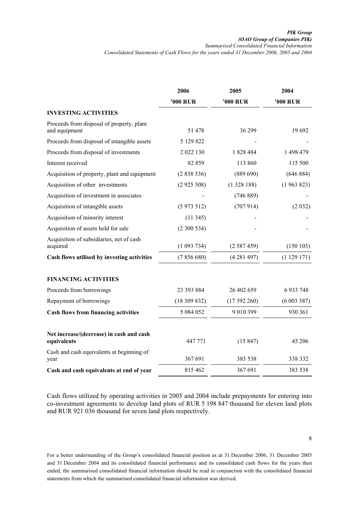*(OAO Group of Companies PIK)* 

*Summarised Consolidated Financial Information* 

*Consolidated Statements of Cash Flows for the years ended 31 December 2006, 2005 and 2004* 

|                                                            | 2006       | 2005       | 2004        |
|------------------------------------------------------------|------------|------------|-------------|
|                                                            | '000 RUR   | '000 RUR   | '000 RUR    |
| <b>INVESTING ACTIVITIES</b>                                |            |            |             |
| Proceeds from disposal of property, plant<br>and equipment | 51 478     | 36 299     | 19692       |
| Proceeds from disposal of intangible assets                | 5 129 822  |            |             |
| Proceeds from disposal of investments                      | 2 022 130  | 1828484    | 1 498 479   |
| Interest received                                          | 82 859     | 113 860    | 115 500     |
| Acquisition of property, plant and equipment               | (2838336)  | (889 690)  | (646 884)   |
| Acquisition of other investments                           | (2925508)  | (1328188)  | (1963823)   |
| Acquisition of investment in associates                    |            | (746 889)  |             |
| Acquisition of intangible assets                           | (5973512)  | (707914)   | (2 032)     |
| Acquisition of minority interest                           | (11345)    |            |             |
| Acquisition of assets held for sale                        | (2300534)  |            |             |
| Acquisition of subsidiaries, net of cash<br>acquired       | (1093734)  | (2587459)  | (150103)    |
| Cash flows utilised by investing activities                | (7856680)  | (4281497)  | (1129171)   |
| <b>FINANCING ACTIVITIES</b>                                |            |            |             |
| Proceeds from borrowings                                   | 23 393 884 | 26 402 659 | 6 9 3 7 4 8 |
| Repayment of borrowings                                    | (18309832) | (17392260) | (6003387)   |
| <b>Cash flows from financing activities</b>                | 5 084 052  | 9 010 399  | 930 361     |
| Net increase/(decrease) in cash and cash<br>equivalents    | 447 771    | (15847)    | 45 206      |
| Cash and cash equivalents at beginning of<br>year          | 367 691    | 383 538    | 338 332     |
| Cash and cash equivalents at end of year                   | 815 462    | 367 691    | 383 538     |

Cash flows utilized by operating activities in 2005 and 2004 include prepayments for entering into co-investment agreements to develop land plots of RUR 5 198 847 thousand for eleven land plots and RUR 921 036 thousand for seven land plots respectively.